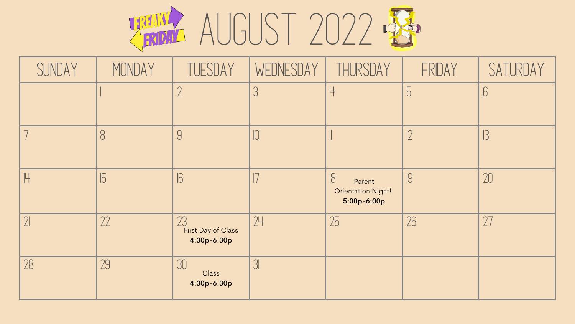



| SUNDAY | MONDAY     | TUESDAY                                 | WEDNESDAY | THURSDAY                                                | FRIDAY     | SATURDAY |
|--------|------------|-----------------------------------------|-----------|---------------------------------------------------------|------------|----------|
|        |            | $\bigcap$                               |           | Ц                                                       | $\sqrt{2}$ |          |
|        | 8          | 9                                       |           |                                                         | 2          |          |
|        | $\sqrt{5}$ | $\sqrt{6}$                              |           | 8<br>Parent<br><b>Orientation Night!</b><br>5:00p-6:00p | 9          | 20       |
| 21     | 22         | 23<br>First Day of Class<br>4:30p-6:30p | 24        | 25                                                      | 26         | 27       |
| 28     | 29         | 30<br>Class<br>4:30p-6:30p              |           |                                                         |            |          |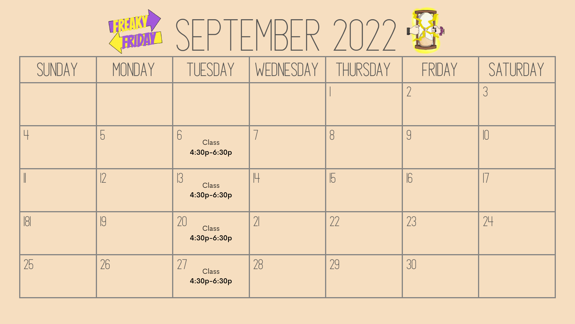

| SUNDAY | MONDAY | TUESDAY                                  | WEDNESDAY | THURSDAY   | FRIDAY     | SATURDAY   |
|--------|--------|------------------------------------------|-----------|------------|------------|------------|
|        |        |                                          |           |            | $\bigcap$  |            |
| Ч      | 5      | $6 \overline{6}$<br>Class<br>4:30p-6:30p |           | 8          | 9          | $\sqrt{2}$ |
|        | 2      | 3 <br>Class<br>4:30p-6:30p               | Н         | $\sqrt{5}$ | $\sqrt{6}$ |            |
| 181    | 9      | 20<br>Class<br>4:30p-6:30p               |           | 22         | 23         | 24         |
| 25     | 26     | 27<br>Class<br>4:30p-6:30p               | 28        | 29         | 30         |            |



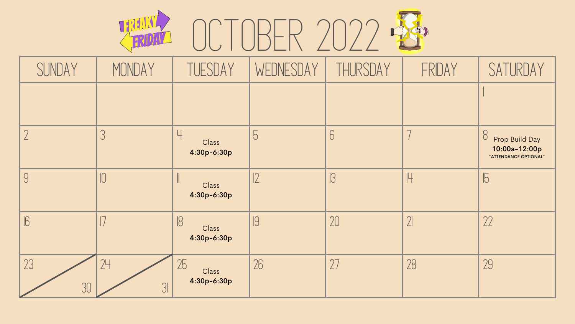

| SUNDAY     | MONDAY               | TUESDAY                            | WEDNESDAY      | THURSDAY | FRIDAY     | SATURDAY                                                      |
|------------|----------------------|------------------------------------|----------------|----------|------------|---------------------------------------------------------------|
|            |                      |                                    |                |          |            |                                                               |
|            |                      | Ц<br>Class<br>4:30p-6:30p          | $\overline{O}$ | 6        |            | 8<br>Prop Build Day<br>10:00a-12:00p<br>*ATTENDANCE OPTIONAL* |
| 9          | IU                   | Class<br>4:30p-6:30p               |                |          |            | ľО                                                            |
| $\sqrt{6}$ |                      | $\sqrt{8}$<br>Class<br>4:30p-6:30p |                | 20       | $\sqrt{2}$ | 22                                                            |
| 23<br>30   | 24<br>3 <sup>l</sup> | 25<br>Class<br>4:30p-6:30p         | 26             | 77       | 28         | 29                                                            |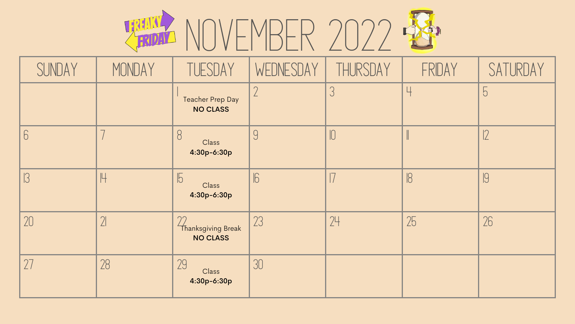## **THING NOVEMBER 2022**

| SUNDAY         | MONDAY         | TUESDAY                                           | WEDNESDAY  | THURSDAY   | FRIDAY | SATURDAY       |
|----------------|----------------|---------------------------------------------------|------------|------------|--------|----------------|
|                |                | Teacher Prep Day<br><b>NO CLASS</b>               |            | 3          | Ц      | $\overline{C}$ |
| $\overline{O}$ |                | 8<br>Class<br>4:30p-6:30p                         |            | $\sqrt{2}$ |        | ட              |
|                | lЧ             | $\sqrt{5}$<br>Class<br>4:30p-6:30p                | $\sqrt{6}$ |            | 8      | 9              |
| 20             | 2 <sup>1</sup> | $\gamma$<br>Thanksgiving Break<br><b>NO CLASS</b> | 23         | 24         | 25     | 26             |
| 27             | 28             | 29<br>Class<br>4:30p-6:30p                        | 30         |            |        |                |

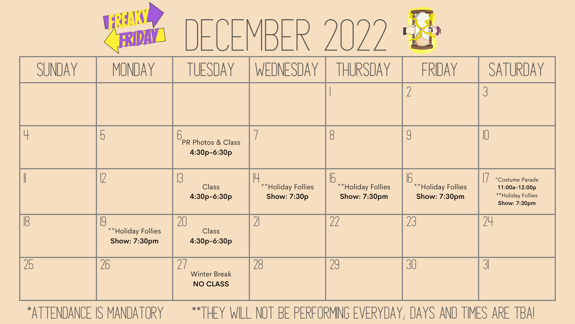## DECEMBER 2022

| SUNDAY     | MONDAY                                         | TUESDAY                                        | WEDNESDAY                               | THURSDAY                                                      | FRIDAY                                                  | SATURDAY                                                                     |
|------------|------------------------------------------------|------------------------------------------------|-----------------------------------------|---------------------------------------------------------------|---------------------------------------------------------|------------------------------------------------------------------------------|
|            |                                                |                                                |                                         |                                                               |                                                         |                                                                              |
|            | $\overline{b}$                                 | 6<br>PR Photos & Class<br>4:30p-6:30p          |                                         | 8                                                             | 9                                                       |                                                                              |
|            |                                                | 3 <br>Class<br>4:30p-6:30p                     | **Holiday Follies<br><b>Show: 7:30p</b> | $\sqrt{5}$<br><b>**Holiday Follies</b><br><b>Show: 7:30pm</b> | $\sqrt{6}$<br>** Holiday Follies<br><b>Show: 7:30pm</b> | *Costume Parade<br>11:00a-12:00p<br>**Holiday Follies<br><b>Show: 7:30pm</b> |
| $\sqrt{8}$ | 19<br>**Holiday Follies<br><b>Show: 7:30pm</b> | 20<br>Class<br>4:30p-6:30p                     | $\gamma$                                | 22                                                            | 23                                                      | 24                                                                           |
| 25         | 26                                             | $2-$<br><b>Winter Break</b><br><b>NO CLASS</b> | 28                                      | 29                                                            | 30                                                      | $3\sqrt{ }$                                                                  |

TREATY



## \*Attendance is Mandatory \*\*They will not be performing everyday; Days and times are TBA!